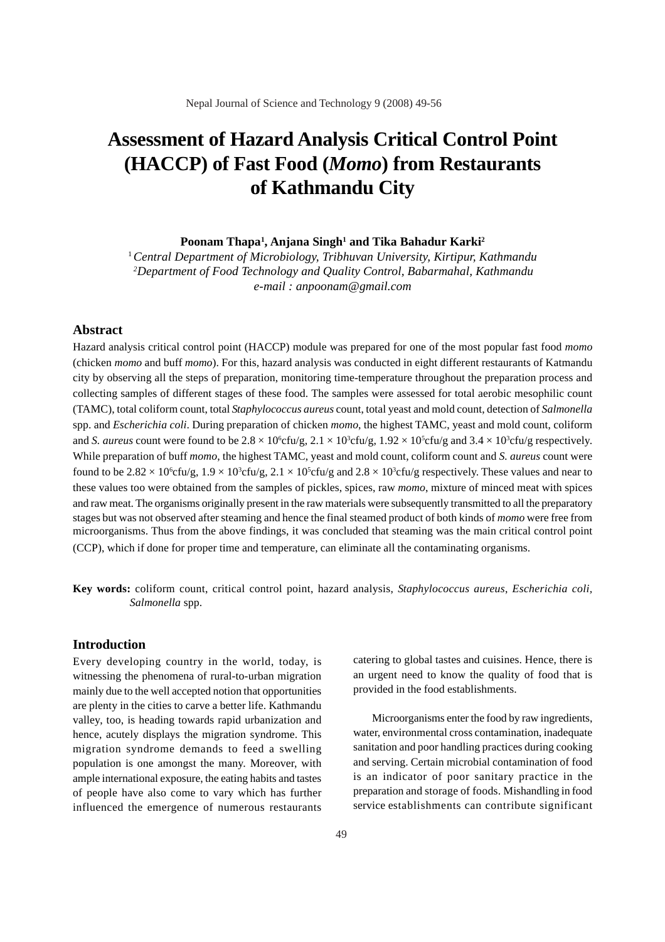# **Assessment of Hazard Analysis Critical Control Point (HACCP) of Fast Food (***Momo***) from Restaurants of Kathmandu City**

**Poonam Thapa1 , Anjana Singh1 and Tika Bahadur Karki2**

<sup>1</sup>*Central Department of Microbiology, Tribhuvan University, Kirtipur, Kathmandu 2Department of Food Technology and Quality Control, Babarmahal, Kathmandu e-mail : anpoonam@gmail.com*

#### **Abstract**

Hazard analysis critical control point (HACCP) module was prepared for one of the most popular fast food *momo* (chicken *momo* and buff *momo*). For this, hazard analysis was conducted in eight different restaurants of Katmandu city by observing all the steps of preparation, monitoring time-temperature throughout the preparation process and collecting samples of different stages of these food. The samples were assessed for total aerobic mesophilic count (TAMC), total coliform count, total *Staphylococcus aureus* count, total yeast and mold count, detection of *Salmonella* spp. and *Escherichia coli*. During preparation of chicken *momo*, the highest TAMC, yeast and mold count, coliform and *S. aureus* count were found to be  $2.8 \times 10^6$ cfu/g,  $2.1 \times 10^3$ cfu/g,  $1.92 \times 10^5$ cfu/g and  $3.4 \times 10^3$ cfu/g respectively. While preparation of buff *momo*, the highest TAMC, yeast and mold count, coliform count and *S. aureus* count were found to be  $2.82 \times 10^6$ cfu/g,  $1.9 \times 10^3$ cfu/g,  $2.1 \times 10^5$ cfu/g and  $2.8 \times 10^3$ cfu/g respectively. These values and near to these values too were obtained from the samples of pickles, spices, raw *momo*, mixture of minced meat with spices and raw meat. The organisms originally present in the raw materials were subsequently transmitted to all the preparatory stages but was not observed after steaming and hence the final steamed product of both kinds of *momo* were free from microorganisms. Thus from the above findings, it was concluded that steaming was the main critical control point

(CCP), which if done for proper time and temperature, can eliminate all the contaminating organisms.

**Key words:** coliform count, critical control point, hazard analysis, *Staphylococcus aureus*, *Escherichia coli, Salmonella* spp.

## **Introduction**

Every developing country in the world, today, is witnessing the phenomena of rural-to-urban migration mainly due to the well accepted notion that opportunities are plenty in the cities to carve a better life. Kathmandu valley, too, is heading towards rapid urbanization and hence, acutely displays the migration syndrome. This migration syndrome demands to feed a swelling population is one amongst the many. Moreover, with ample international exposure, the eating habits and tastes of people have also come to vary which has further influenced the emergence of numerous restaurants

catering to global tastes and cuisines. Hence, there is an urgent need to know the quality of food that is provided in the food establishments.

Microorganisms enter the food by raw ingredients, water, environmental cross contamination, inadequate sanitation and poor handling practices during cooking and serving. Certain microbial contamination of food is an indicator of poor sanitary practice in the preparation and storage of foods. Mishandling in food service establishments can contribute significant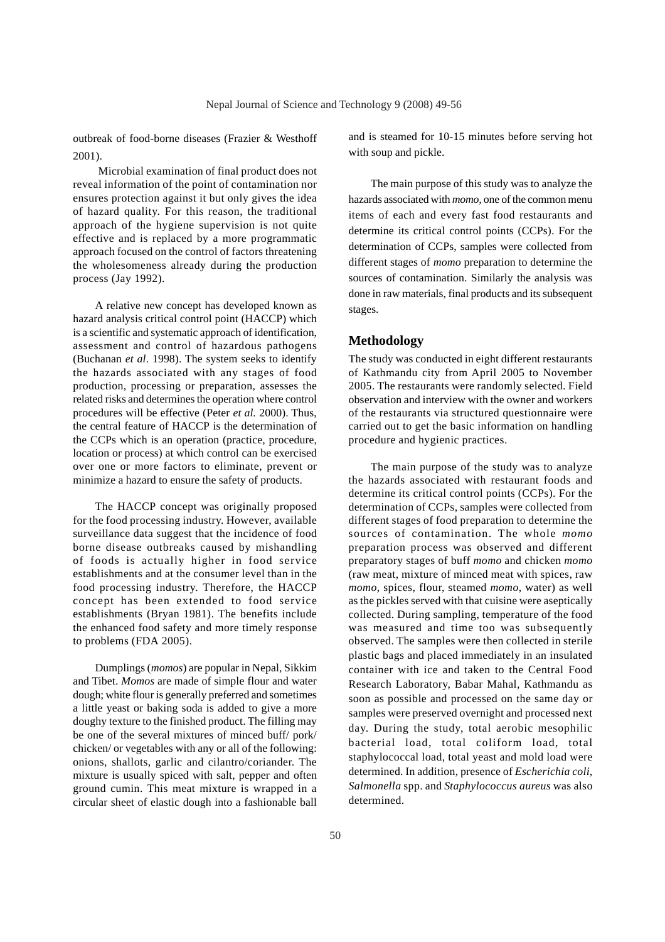outbreak of food-borne diseases (Frazier & Westhoff 2001).

Microbial examination of final product does not reveal information of the point of contamination nor ensures protection against it but only gives the idea of hazard quality. For this reason, the traditional approach of the hygiene supervision is not quite effective and is replaced by a more programmatic approach focused on the control of factors threatening the wholesomeness already during the production process (Jay 1992).

A relative new concept has developed known as hazard analysis critical control point (HACCP) which is a scientific and systematic approach of identification, assessment and control of hazardous pathogens (Buchanan *et al*. 1998). The system seeks to identify the hazards associated with any stages of food production, processing or preparation, assesses the related risks and determines the operation where control procedures will be effective (Peter *et al.* 2000). Thus, the central feature of HACCP is the determination of the CCPs which is an operation (practice, procedure, location or process) at which control can be exercised over one or more factors to eliminate, prevent or minimize a hazard to ensure the safety of products.

The HACCP concept was originally proposed for the food processing industry. However, available surveillance data suggest that the incidence of food borne disease outbreaks caused by mishandling of foods is actually higher in food service establishments and at the consumer level than in the food processing industry. Therefore, the HACCP concept has been extended to food service establishments (Bryan 1981). The benefits include the enhanced food safety and more timely response to problems (FDA 2005).

Dumplings (*momos*) are popular in Nepal, Sikkim and Tibet. *Momos* are made of simple flour and water dough; white flour is generally preferred and sometimes a little yeast or baking soda is added to give a more doughy texture to the finished product. The filling may be one of the several mixtures of minced buff/ pork/ chicken/ or vegetables with any or all of the following: onions, shallots, garlic and cilantro/coriander. The mixture is usually spiced with salt, pepper and often ground cumin. This meat mixture is wrapped in a circular sheet of elastic dough into a fashionable ball

and is steamed for 10-15 minutes before serving hot with soup and pickle.

The main purpose of this study was to analyze the hazards associated with *momo,* one of the common menu items of each and every fast food restaurants and determine its critical control points (CCPs). For the determination of CCPs, samples were collected from different stages of *momo* preparation to determine the sources of contamination. Similarly the analysis was done in raw materials, final products and its subsequent stages.

## **Methodology**

The study was conducted in eight different restaurants of Kathmandu city from April 2005 to November 2005. The restaurants were randomly selected. Field observation and interview with the owner and workers of the restaurants via structured questionnaire were carried out to get the basic information on handling procedure and hygienic practices.

The main purpose of the study was to analyze the hazards associated with restaurant foods and determine its critical control points (CCPs). For the determination of CCPs, samples were collected from different stages of food preparation to determine the sources of contamination. The whole *momo* preparation process was observed and different preparatory stages of buff *momo* and chicken *momo* (raw meat, mixture of minced meat with spices, raw *momo*, spices, flour, steamed *momo*, water) as well as the pickles served with that cuisine were aseptically collected. During sampling, temperature of the food was measured and time too was subsequently observed. The samples were then collected in sterile plastic bags and placed immediately in an insulated container with ice and taken to the Central Food Research Laboratory, Babar Mahal, Kathmandu as soon as possible and processed on the same day or samples were preserved overnight and processed next day. During the study, total aerobic mesophilic bacterial load, total coliform load, total staphylococcal load, total yeast and mold load were determined. In addition, presence of *Escherichia coli, Salmonella* spp. and *Staphylococcus aureus* was also determined.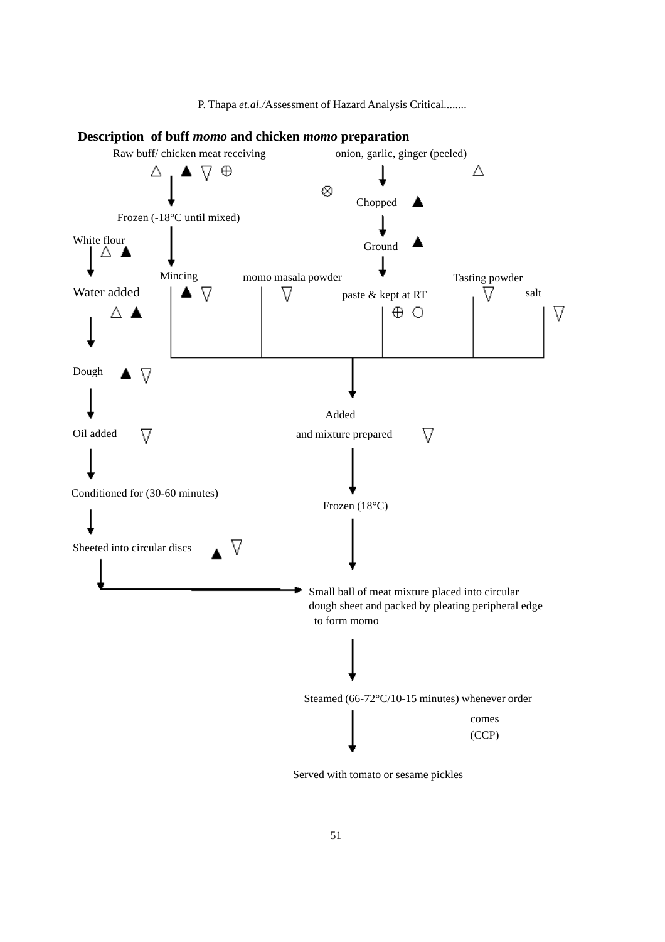P. Thapa *et.al./*Assessment of Hazard Analysis Critical........



## **Description of buff** *momo* **and chicken** *momo* **preparation**

Served with tomato or sesame pickles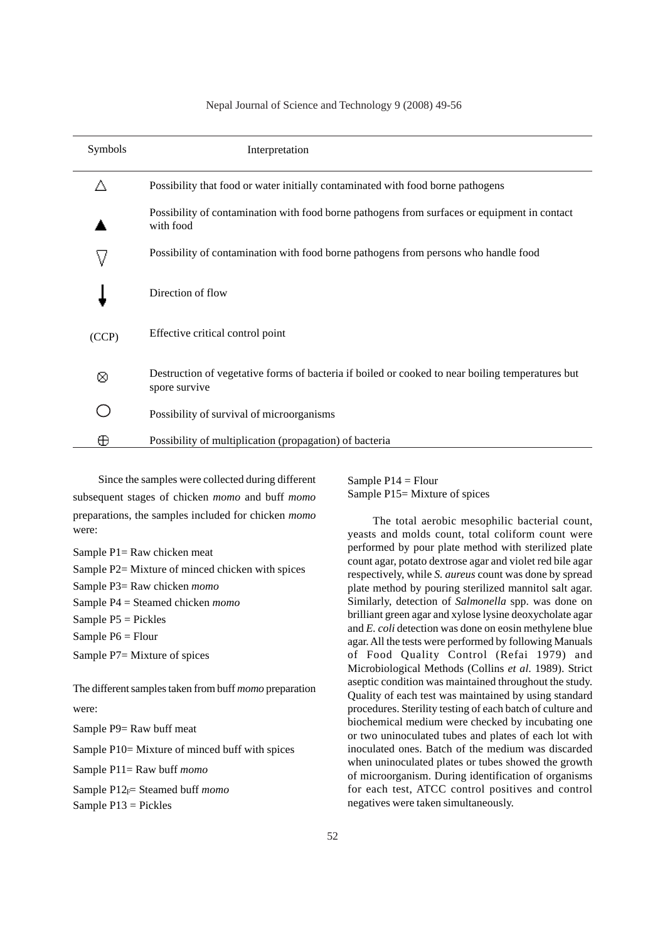| Symbols | Interpretation                                                                                                    |
|---------|-------------------------------------------------------------------------------------------------------------------|
| Λ       | Possibility that food or water initially contaminated with food borne pathogens                                   |
|         | Possibility of contamination with food borne pathogens from surfaces or equipment in contact<br>with food         |
|         | Possibility of contamination with food borne pathogens from persons who handle food                               |
|         | Direction of flow                                                                                                 |
| (CCP)   | Effective critical control point                                                                                  |
| ⊗       | Destruction of vegetative forms of bacteria if boiled or cooked to near boiling temperatures but<br>spore survive |
|         | Possibility of survival of microorganisms                                                                         |
| ⊕       | Possibility of multiplication (propagation) of bacteria                                                           |

Nepal Journal of Science and Technology 9 (2008) 49-56

Since the samples were collected during different subsequent stages of chicken *momo* and buff *momo* preparations, the samples included for chicken *momo* were:

Sample P1= Raw chicken meat Sample P2= Mixture of minced chicken with spices

Sample P3= Raw chicken *momo*

Sample P4 = Steamed chicken *momo*

Sample  $P5 =$  Pickles

Sample  $P6 =$  Flour

Sample P7= Mixture of spices

The different samples taken from buff *momo* preparation were:

Sample P9= Raw buff meat

Sample P10= Mixture of minced buff with spices

Sample P11= Raw buff *momo*

Sample P12<sub>F</sub>= Steamed buff *momo* Sample P13 = Pickles

Sample  $P14 =$  Flour Sample P15= Mixture of spices

The total aerobic mesophilic bacterial count, yeasts and molds count, total coliform count were performed by pour plate method with sterilized plate count agar, potato dextrose agar and violet red bile agar respectively, while *S. aureus* count was done by spread plate method by pouring sterilized mannitol salt agar. Similarly, detection of *Salmonella* spp. was done on brilliant green agar and xylose lysine deoxycholate agar and *E. coli* detection was done on eosin methylene blue agar. All the tests were performed by following Manuals of Food Quality Control (Refai 1979) and Microbiological Methods (Collins *et al*. 1989). Strict aseptic condition was maintained throughout the study. Quality of each test was maintained by using standard procedures. Sterility testing of each batch of culture and biochemical medium were checked by incubating one or two uninoculated tubes and plates of each lot with inoculated ones. Batch of the medium was discarded when uninoculated plates or tubes showed the growth of microorganism. During identification of organisms for each test, ATCC control positives and control negatives were taken simultaneously.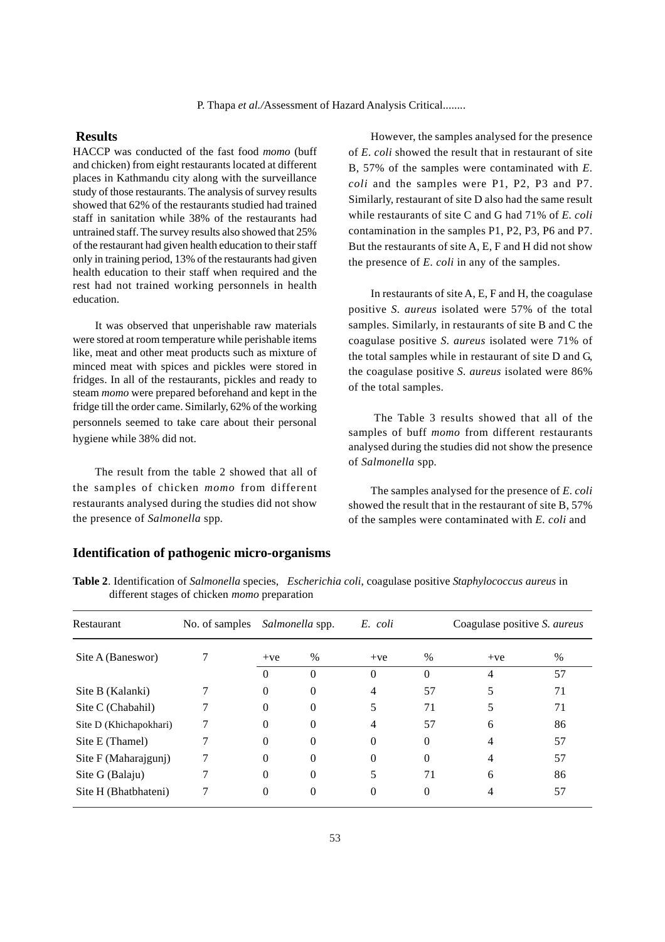## **Results**

HACCP was conducted of the fast food *momo* (buff and chicken) from eight restaurants located at different places in Kathmandu city along with the surveillance study of those restaurants. The analysis of survey results showed that 62% of the restaurants studied had trained staff in sanitation while 38% of the restaurants had untrained staff. The survey results also showed that 25% of the restaurant had given health education to their staff only in training period, 13% of the restaurants had given health education to their staff when required and the rest had not trained working personnels in health education.

It was observed that unperishable raw materials were stored at room temperature while perishable items like, meat and other meat products such as mixture of minced meat with spices and pickles were stored in fridges. In all of the restaurants, pickles and ready to steam *momo* were prepared beforehand and kept in the fridge till the order came. Similarly, 62% of the working personnels seemed to take care about their personal hygiene while 38% did not.

The result from the table 2 showed that all of the samples of chicken *momo* from different restaurants analysed during the studies did not show the presence of *Salmonella* spp*.*

However, the samples analysed for the presence of *E. coli* showed the result that in restaurant of site B, 57% of the samples were contaminated with *E. coli* and the samples were P1, P2, P3 and P7. Similarly, restaurant of site D also had the same result while restaurants of site C and G had 71% of *E. coli* contamination in the samples P1, P2, P3, P6 and P7. But the restaurants of site A, E, F and H did not show the presence of *E. coli* in any of the samples.

In restaurants of site A, E, F and H, the coagulase positive *S. aureus* isolated were 57% of the total samples. Similarly, in restaurants of site B and C the coagulase positive *S. aureus* isolated were 71% of the total samples while in restaurant of site D and G, the coagulase positive *S. aureus* isolated were 86% of the total samples.

The Table 3 results showed that all of the samples of buff *momo* from different restaurants analysed during the studies did not show the presence of *Salmonella* spp*.*

The samples analysed for the presence of *E. coli* showed the result that in the restaurant of site B, 57% of the samples were contaminated with *E. coli* and

## **Identification of pathogenic micro-organisms**

| different stages of chicken <i>momo</i> preparation |                |                 |          |          |                              |       |    |  |  |  |
|-----------------------------------------------------|----------------|-----------------|----------|----------|------------------------------|-------|----|--|--|--|
| Restaurant                                          | No. of samples | Salmonella spp. |          | E. coli  | Coagulase positive S. aureus |       |    |  |  |  |
| Site A (Baneswor)                                   |                | $+ve$           | $\%$     | $+ve$    | $\%$                         | $+ve$ | %  |  |  |  |
|                                                     |                | $\theta$        | $\Omega$ | $\Omega$ | 0                            | 4     | 57 |  |  |  |
| Site B (Kalanki)                                    |                | $\Omega$        | 0        | 4        | 57                           |       | 71 |  |  |  |
| Site C (Chabahil)                                   |                | $\theta$        | $\theta$ | 5        | 71                           |       | 71 |  |  |  |
| Site D (Khichapokhari)                              |                | 0               | 0        | 4        | 57                           | 6     | 86 |  |  |  |
| Site E (Thamel)                                     |                | 0               | 0        | 0        | 0                            | 4     | 57 |  |  |  |
| Site F (Maharajgunj)                                |                | 0               | $\Omega$ | 0        | $\theta$                     | 4     | 57 |  |  |  |
| Site G (Balaju)                                     |                | 0               |          |          |                              | 6     | 86 |  |  |  |

**Table 2**. Identification of *Salmonella* species, *Escherichia coli*, coagulase positive *Staphylococcus aureus* in different stages of chicken *momo* preparation

Site H (Bhatbhateni)  $\begin{array}{ccc} 7 & 0 & 0 & 0 & 0 \end{array}$   $\begin{array}{ccc} 0 & 0 & 4 & 57 \end{array}$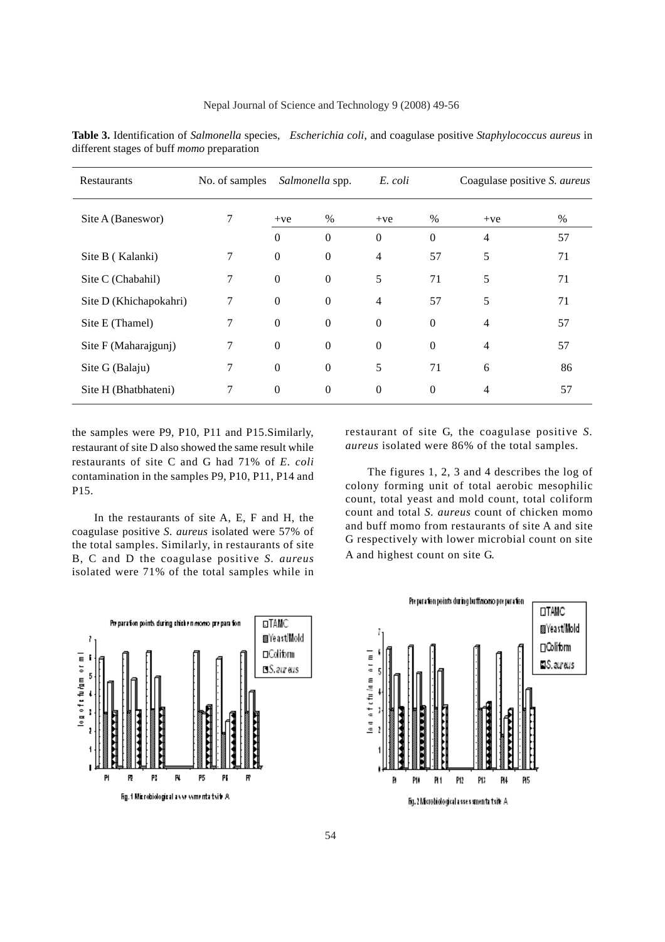| Restaurants            | No. of samples | Salmonella spp. |                  | E. coli        |          | Coagulase positive S. aureus |      |
|------------------------|----------------|-----------------|------------------|----------------|----------|------------------------------|------|
| Site A (Baneswor)      |                | $+ve$           | $\%$             | $+ve$          | $\%$     | $+ve$                        | $\%$ |
|                        |                | $\Omega$        | $\mathbf{0}$     | $\Omega$       | $\Omega$ | 4                            | 57   |
| Site B (Kalanki)       | 7              | $\Omega$        | $\mathbf{0}$     | $\overline{4}$ | 57       | 5                            | 71   |
| Site C (Chabahil)      | 7              | $\mathbf{0}$    | $\mathbf{0}$     | 5              | 71       | 5                            | 71   |
| Site D (Khichapokahri) | 7              | $\Omega$        | $\boldsymbol{0}$ | $\overline{4}$ | 57       | 5                            | 71   |
| Site E (Thamel)        | 7              | $\mathbf{0}$    | $\boldsymbol{0}$ | $\theta$       | $\theta$ | 4                            | 57   |
| Site F (Maharajgunj)   | 7              | $\mathbf{0}$    | $\boldsymbol{0}$ | $\Omega$       | $\Omega$ | 4                            | 57   |
| Site G (Balaju)        | 7              | $\mathbf{0}$    | $\boldsymbol{0}$ | 5              | 71       | 6                            | 86   |
| Site H (Bhatbhateni)   | 7              | $\Omega$        | $\boldsymbol{0}$ | $\theta$       | $\Omega$ | 4                            | 57   |

**Table 3.** Identification of *Salmonella* species, *Escherichia coli*, and coagulase positive *Staphylococcus aureus* in different stages of buff *momo* preparation

the samples were P9, P10, P11 and P15.Similarly, restaurant of site D also showed the same result while restaurants of site C and G had 71% of *E. coli* contamination in the samples P9, P10, P11, P14 and P15.

In the restaurants of site A, E, F and H, the coagulase positive *S. aureus* isolated were 57% of the total samples. Similarly, in restaurants of site B, C and D the coagulase positive *S. aureus* isolated were 71% of the total samples while in restaurant of site G, the coagulase positive *S. aureus* isolated were 86% of the total samples.

The figures 1, 2, 3 and 4 describes the log of colony forming unit of total aerobic mesophilic count, total yeast and mold count, total coliform count and total *S. aureus* count of chicken momo and buff momo from restaurants of site A and site G respectively with lower microbial count on site A and highest count on site G.



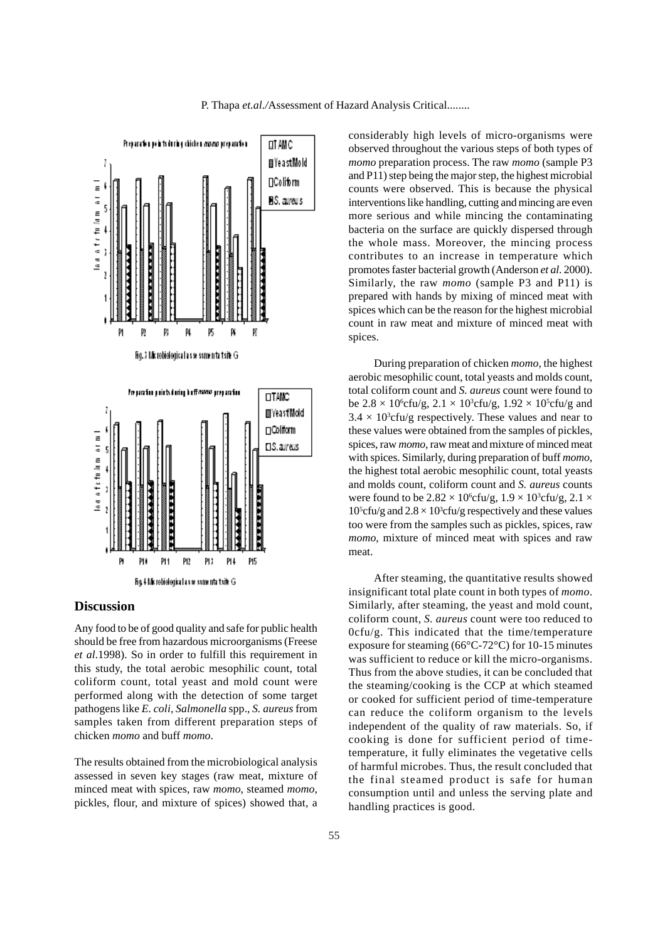

## **Discussion**

Any food to be of good quality and safe for public health should be free from hazardous microorganisms (Freese *et al*.1998). So in order to fulfill this requirement in this study, the total aerobic mesophilic count, total coliform count, total yeast and mold count were performed along with the detection of some target pathogens like *E. coli, Salmonella* spp.*, S. aureus* from samples taken from different preparation steps of chicken *momo* and buff *momo*.

The results obtained from the microbiological analysis assessed in seven key stages (raw meat, mixture of minced meat with spices, raw *momo*, steamed *momo*, pickles, flour, and mixture of spices) showed that, a considerably high levels of micro-organisms were observed throughout the various steps of both types of *momo* preparation process. The raw *momo* (sample P3 and P11) step being the major step, the highest microbial counts were observed. This is because the physical interventions like handling, cutting and mincing are even more serious and while mincing the contaminating bacteria on the surface are quickly dispersed through the whole mass. Moreover, the mincing process contributes to an increase in temperature which promotes faster bacterial growth (Anderson *et al*. 2000). Similarly, the raw *momo* (sample P3 and P11) is prepared with hands by mixing of minced meat with spices which can be the reason for the highest microbial count in raw meat and mixture of minced meat with spices.

During preparation of chicken *momo*, the highest aerobic mesophilic count, total yeasts and molds count, total coliform count and *S. aureus* count were found to be  $2.8 \times 10^6$ cfu/g,  $2.1 \times 10^3$ cfu/g,  $1.92 \times 10^5$ cfu/g and  $3.4 \times 10^{3}$ cfu/g respectively. These values and near to these values were obtained from the samples of pickles, spices, raw *momo*, raw meat and mixture of minced meat with spices. Similarly, during preparation of buff *momo*, the highest total aerobic mesophilic count, total yeasts and molds count, coliform count and *S. aureus* counts were found to be  $2.82 \times 10^6$ cfu/g,  $1.9 \times 10^3$ cfu/g,  $2.1 \times$  $10^5$ cfu/g and  $2.8 \times 10^3$ cfu/g respectively and these values too were from the samples such as pickles, spices, raw *momo*, mixture of minced meat with spices and raw meat.

After steaming, the quantitative results showed insignificant total plate count in both types of *momo*. Similarly, after steaming, the yeast and mold count, coliform count, *S. aureus* count were too reduced to 0cfu/g. This indicated that the time/temperature exposure for steaming (66°C-72°C) for 10-15 minutes was sufficient to reduce or kill the micro-organisms. Thus from the above studies, it can be concluded that the steaming/cooking is the CCP at which steamed or cooked for sufficient period of time-temperature can reduce the coliform organism to the levels independent of the quality of raw materials. So, if cooking is done for sufficient period of timetemperature, it fully eliminates the vegetative cells of harmful microbes. Thus, the result concluded that the final steamed product is safe for human consumption until and unless the serving plate and handling practices is good.